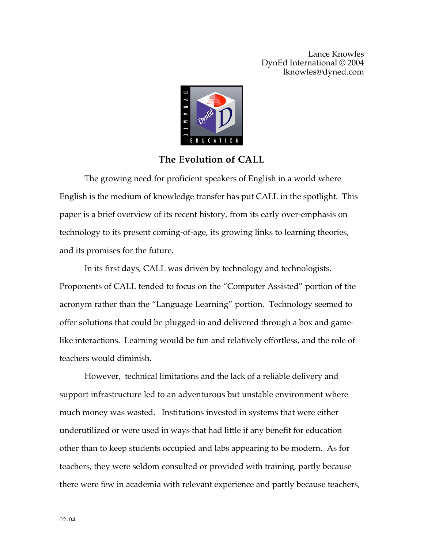

## **The Evolution of CALL**

The growing need for proficient speakers of English in a world where English is the medium of knowledge transfer has put CALL in the spotlight. This paper is a brief overview of its recent history, from its early over-emphasis on technology to its present coming-of-age, its growing links to learning theories, and its promises for the future.

In its first days, CALL was driven by technology and technologists. Proponents of CALL tended to focus on the "Computer Assisted" portion of the acronym rather than the "Language Learning" portion. Technology seemed to offer solutions that could be plugged-in and delivered through a box and gamelike interactions. Learning would be fun and relatively effortless, and the role of teachers would diminish.

However, technical limitations and the lack of a reliable delivery and support infrastructure led to an adventurous but unstable environment where much money was wasted. Institutions invested in systems that were either underutilized or were used in ways that had little if any benefit for education other than to keep students occupied and labs appearing to be modern. As for teachers, they were seldom consulted or provided with training, partly because there were few in academia with relevant experience and partly because teachers,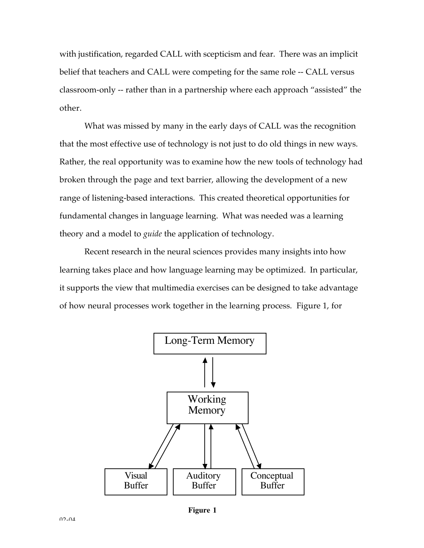with justification, regarded CALL with scepticism and fear. There was an implicit belief that teachers and CALL were competing for the same role -- CALL versus classroom-only -- rather than in a partnership where each approach "assisted" the other.

What was missed by many in the early days of CALL was the recognition that the most effective use of technology is not just to do old things in new ways. Rather, the real opportunity was to examine how the new tools of technology had broken through the page and text barrier, allowing the development of a new range of listening-based interactions. This created theoretical opportunities for fundamental changes in language learning. What was needed was a learning theory and a model to *guide* the application of technology.

Recent research in the neural sciences provides many insights into how learning takes place and how language learning may be optimized. In particular, it supports the view that multimedia exercises can be designed to take advantage of how neural processes work together in the learning process. Figure 1, for



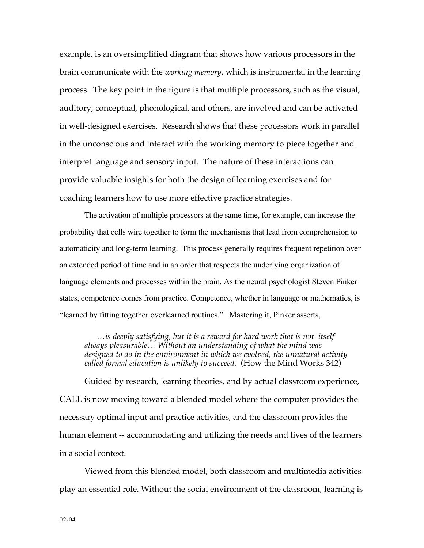example, is an oversimplified diagram that shows how various processors in the brain communicate with the *working memory,* which is instrumental in the learning process. The key point in the figure is that multiple processors, such as the visual, auditory, conceptual, phonological, and others, are involved and can be activated in well-designed exercises. Research shows that these processors work in parallel in the unconscious and interact with the working memory to piece together and interpret language and sensory input. The nature of these interactions can provide valuable insights for both the design of learning exercises and for coaching learners how to use more effective practice strategies.

The activation of multiple processors at the same time, for example, can increase the probability that cells wire together to form the mechanisms that lead from comprehension to automaticity and long-term learning. This process generally requires frequent repetition over an extended period of time and in an order that respects the underlying organization of language elements and processes within the brain. As the neural psychologist Steven Pinker states, competence comes from practice. Competence, whether in language or mathematics, is "learned by fitting together overlearned routines." Mastering it, Pinker asserts,

*…is deeply satisfying, but it is a reward for hard work that is not itself always pleasurable… Without an understanding of what the mind was designed to do in the environment in which we evolved, the unnatural activity called formal education is unlikely to succeed.* (How the Mind Works 342)

Guided by research, learning theories, and by actual classroom experience, CALL is now moving toward a blended model where the computer provides the necessary optimal input and practice activities, and the classroom provides the human element -- accommodating and utilizing the needs and lives of the learners in a social context.

Viewed from this blended model, both classroom and multimedia activities play an essential role. Without the social environment of the classroom, learning is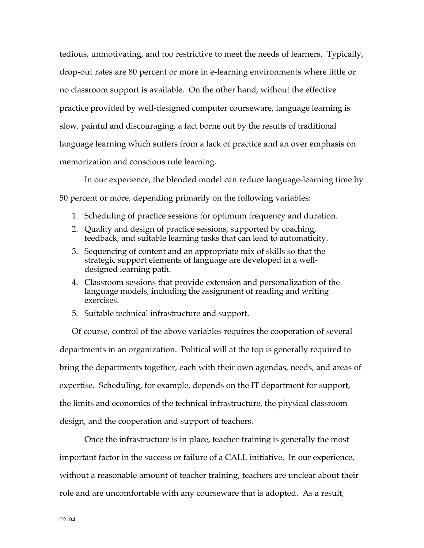tedious, unmotivating, and too restrictive to meet the needs of learners. Typically, drop-out rates are 80 percent or more in e-learning environments where little or no classroom support is available. On the other hand, without the effective practice provided by well-designed computer courseware, language learning is slow, painful and discouraging, a fact borne out by the results of traditional language learning which suffers from a lack of practice and an over emphasis on memorization and conscious rule learning.

In our experience, the blended model can reduce language-learning time by 50 percent or more, depending primarily on the following variables:

- 1. Scheduling of practice sessions for optimum frequency and duration.
- 2. Quality and design of practice sessions, supported by coaching, feedback, and suitable learning tasks that can lead to automaticity.
- 3. Sequencing of content and an appropriate mix of skills so that the strategic support elements of language are developed in a welldesigned learning path.
- 4. Classroom sessions that provide extension and personalization of the language models, including the assignment of reading and writing exercises.
- 5. Suitable technical infrastructure and support.

Of course, control of the above variables requires the cooperation of several departments in an organization. Political will at the top is generally required to bring the departments together, each with their own agendas, needs, and areas of expertise. Scheduling, for example, depends on the IT department for support, the limits and economics of the technical infrastructure, the physical classroom design, and the cooperation and support of teachers.

Once the infrastructure is in place, teacher-training is generally the most important factor in the success or failure of a CALL initiative. In our experience, without a reasonable amount of teacher training, teachers are unclear about their role and are uncomfortable with any courseware that is adopted. As a result,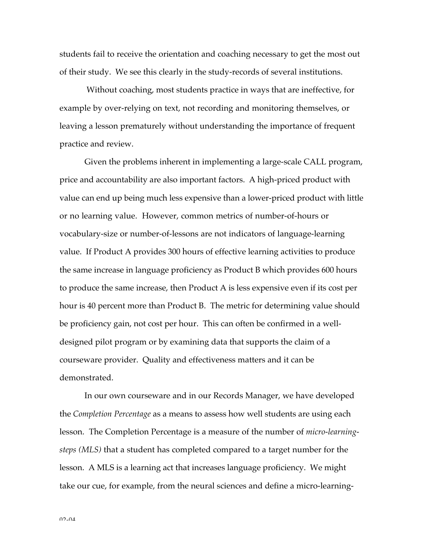students fail to receive the orientation and coaching necessary to get the most out of their study. We see this clearly in the study-records of several institutions.

Without coaching, most students practice in ways that are ineffective, for example by over-relying on text, not recording and monitoring themselves, or leaving a lesson prematurely without understanding the importance of frequent practice and review.

Given the problems inherent in implementing a large-scale CALL program, price and accountability are also important factors. A high-priced product with value can end up being much less expensive than a lower-priced product with little or no learning value. However, common metrics of number-of-hours or vocabulary-size or number-of-lessons are not indicators of language-learning value. If Product A provides 300 hours of effective learning activities to produce the same increase in language proficiency as Product B which provides 600 hours to produce the same increase, then Product A is less expensive even if its cost per hour is 40 percent more than Product B. The metric for determining value should be proficiency gain, not cost per hour. This can often be confirmed in a welldesigned pilot program or by examining data that supports the claim of a courseware provider. Quality and effectiveness matters and it can be demonstrated.

In our own courseware and in our Records Manager, we have developed the *Completion Percentage* as a means to assess how well students are using each lesson. The Completion Percentage is a measure of the number of *micro-learningsteps (MLS)* that a student has completed compared to a target number for the lesson.A MLS is a learning act that increases language proficiency. We might take our cue, for example, from the neural sciences and define a micro-learning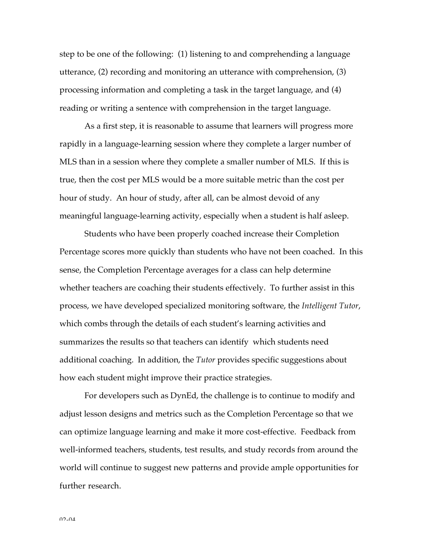step to be one of the following: (1) listening to and comprehending a language utterance, (2) recording and monitoring an utterance with comprehension, (3) processing information and completing a task in the target language, and (4) reading or writing a sentence with comprehension in the target language.

As a first step, it is reasonable to assume that learners will progress more rapidly in a language-learning session where they complete a larger number of MLS than in a session where they complete a smaller number of MLS. If this is true, then the cost per MLS would be a more suitable metric than the cost per hour of study. An hour of study, after all, can be almost devoid of any meaningful language-learning activity, especially when a student is half asleep.

Students who have been properly coached increase their Completion Percentage scores more quickly than students who have not been coached. In this sense, the Completion Percentage averages for a class can help determine whether teachers are coaching their students effectively. To further assist in this process, we have developed specialized monitoring software, the *Intelligent Tutor*, which combs through the details of each student's learning activities and summarizes the results so that teachers can identify which students need additional coaching. In addition, the *Tutor* provides specific suggestions about how each student might improve their practice strategies.

For developers such as DynEd, the challenge is to continue to modify and adjust lesson designs and metrics such as the Completion Percentage so that we can optimize language learning and make it more cost-effective. Feedback from well-informed teachers, students, test results, and study records from around the world will continue to suggest new patterns and provide ample opportunities for further research.